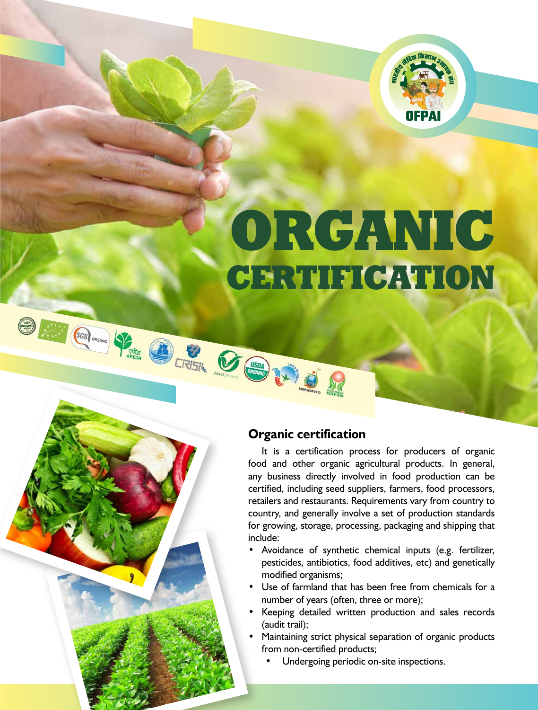

# ORGANIC CERTIFICATION

# **Organic certification**

OF COLORED VALUE OF COLORED VALUE

It is a certification process for producers of organic food and other organic agricultural products. In general, any business directly involved in food production can be certified, including seed suppliers, farmers, food processors, retailers and restaurants. Requirements vary from country to country, and generally involve a set of production standards for growing, storage, processing, packaging and shipping that include:

- Avoidance of synthetic chemical inputs (e.g. fertilizer, pesticides, antibiotics, food additives, etc) and genetically modified organisms;
- Use of farmland that has been free from chemicals for a number of years (often, three or more);
- • Keeping detailed written production and sales records (audit trail);
- Maintaining strict physical separation of organic products from non-certified products;
	- Undergoing periodic on-site inspections.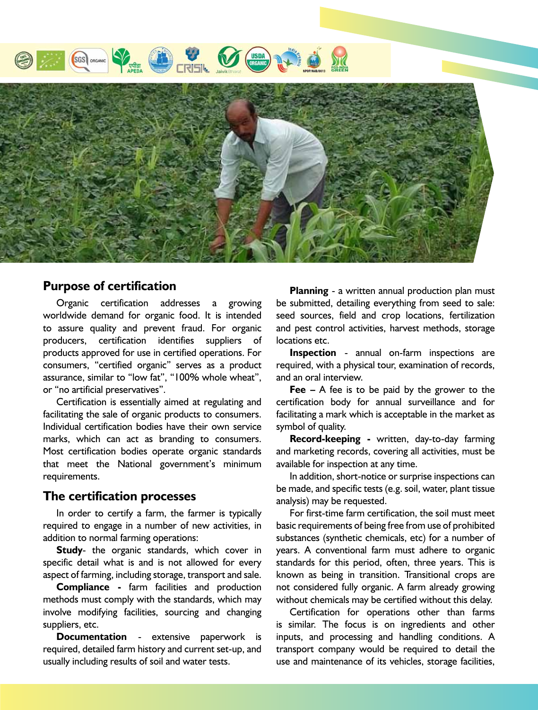



# **Purpose of certification**

Organic certification addresses a growing worldwide demand for organic food. It is intended to assure quality and prevent fraud. For organic producers, certification identifies suppliers of products approved for use in certified operations. For consumers, "certified organic" serves as a product assurance, similar to "low fat", "100% whole wheat", or "no artificial preservatives".

Certification is essentially aimed at regulating and facilitating the sale of organic products to consumers. Individual certification bodies have their own service marks, which can act as branding to consumers. Most certification bodies operate organic standards that meet the National government's minimum requirements.

#### **The certification processes**

In order to certify a farm, the farmer is typically required to engage in a number of new activities, in addition to normal farming operations:

**Study**- the organic standards, which cover in specific detail what is and is not allowed for every aspect of farming, including storage, transport and sale.

**Compliance -** farm facilities and production methods must comply with the standards, which may involve modifying facilities, sourcing and changing suppliers, etc.

**Documentation** - extensive paperwork is required, detailed farm history and current set-up, and usually including results of soil and water tests.

**Planning** - a written annual production plan must be submitted, detailing everything from seed to sale: seed sources, field and crop locations, fertilization and pest control activities, harvest methods, storage locations etc.

**Inspection** - annual on-farm inspections are required, with a physical tour, examination of records, and an oral interview.

**Fee –** A fee is to be paid by the grower to the certification body for annual surveillance and for facilitating a mark which is acceptable in the market as symbol of quality.

**Record-keeping -** written, day-to-day farming and marketing records, covering all activities, must be available for inspection at any time.

In addition, short-notice or surprise inspections can be made, and specific tests (e.g. soil, water, plant tissue analysis) may be requested.

For first-time farm certification, the soil must meet basic requirements of being free from use of prohibited substances (synthetic chemicals, etc) for a number of years. A conventional farm must adhere to organic standards for this period, often, three years. This is known as being in transition. Transitional crops are not considered fully organic. A farm already growing without chemicals may be certified without this delay.

Certification for operations other than farms is similar. The focus is on ingredients and other inputs, and processing and handling conditions. A transport company would be required to detail the use and maintenance of its vehicles, storage facilities,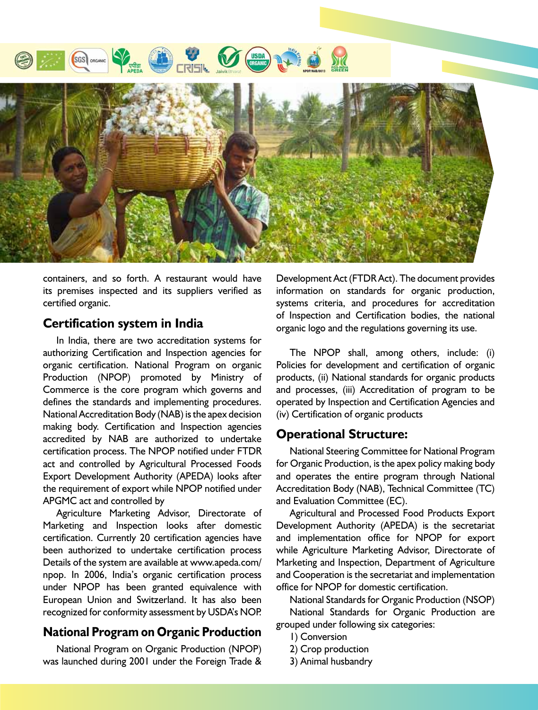



containers, and so forth. A restaurant would have its premises inspected and its suppliers verified as certified organic.

## **Certification system in India**

In India, there are two accreditation systems for authorizing Certification and Inspection agencies for organic certification. National Program on organic Production (NPOP) promoted by Ministry of Commerce is the core program which governs and defines the standards and implementing procedures. National Accreditation Body (NAB) is the apex decision making body. Certification and Inspection agencies accredited by NAB are authorized to undertake certification process. The NPOP notified under FTDR act and controlled by Agricultural Processed Foods Export Development Authority (APEDA) looks after the requirement of export while NPOP notified under APGMC act and controlled by

Agriculture Marketing Advisor, Directorate of Marketing and Inspection looks after domestic certification. Currently 20 certification agencies have been authorized to undertake certification process Details of the system are available at www.apeda.com/ npop. In 2006, India's organic certification process under NPOP has been granted equivalence with European Union and Switzerland. It has also been recognized for conformity assessment by USDA's NOP.

# **National Program on Organic Production**

National Program on Organic Production (NPOP) was launched during 2001 under the Foreign Trade & Development Act (FTDR Act). The document provides information on standards for organic production, systems criteria, and procedures for accreditation of Inspection and Certification bodies, the national organic logo and the regulations governing its use.

The NPOP shall, among others, include: (i) Policies for development and certification of organic products, (ii) National standards for organic products and processes, (iii) Accreditation of program to be operated by Inspection and Certification Agencies and (iv) Certification of organic products

## **Operational Structure:**

National Steering Committee for National Program for Organic Production, is the apex policy making body and operates the entire program through National Accreditation Body (NAB), Technical Committee (TC) and Evaluation Committee (EC).

Agricultural and Processed Food Products Export Development Authority (APEDA) is the secretariat and implementation office for NPOP for export while Agriculture Marketing Advisor, Directorate of Marketing and Inspection, Department of Agriculture and Cooperation is the secretariat and implementation office for NPOP for domestic certification.

National Standards for Organic Production (NSOP)

National Standards for Organic Production are grouped under following six categories:

- 1) Conversion
- 2) Crop production
- 3) Animal husbandry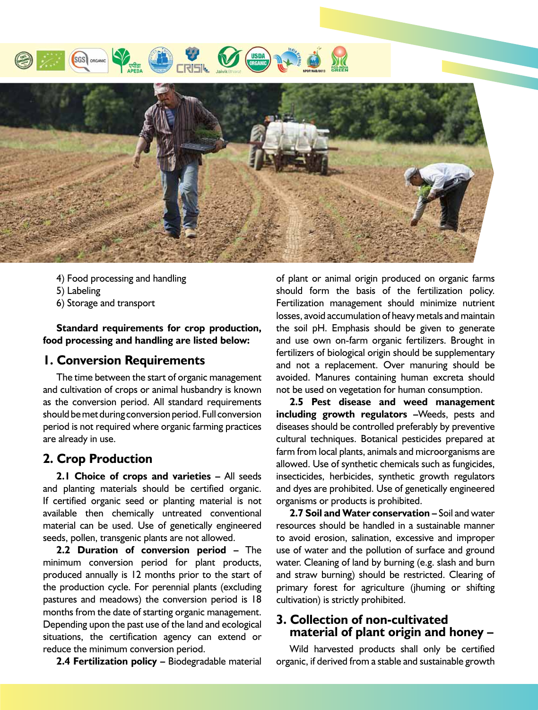



- 4) Food processing and handling
- 5) Labeling
- 6) Storage and transport

**Standard requirements for crop production, food processing and handling are listed below:**

## **1. Conversion Requirements**

The time between the start of organic management and cultivation of crops or animal husbandry is known as the conversion period. All standard requirements should be met during conversion period. Full conversion period is not required where organic farming practices are already in use.

# **2. Crop Production**

**2.1 Choice of crops and varieties –** All seeds and planting materials should be certified organic. If certified organic seed or planting material is not available then chemically untreated conventional material can be used. Use of genetically engineered seeds, pollen, transgenic plants are not allowed.

**2.2 Duration of conversion period –** The minimum conversion period for plant products, produced annually is 12 months prior to the start of the production cycle. For perennial plants (excluding pastures and meadows) the conversion period is 18 months from the date of starting organic management. Depending upon the past use of the land and ecological situations, the certification agency can extend or reduce the minimum conversion period.

**2.4 Fertilization policy –** Biodegradable material

of plant or animal origin produced on organic farms should form the basis of the fertilization policy. Fertilization management should minimize nutrient losses, avoid accumulation of heavy metals and maintain the soil pH. Emphasis should be given to generate and use own on-farm organic fertilizers. Brought in fertilizers of biological origin should be supplementary and not a replacement. Over manuring should be avoided. Manures containing human excreta should not be used on vegetation for human consumption.

**2.5 Pest disease and weed management including growth regulators –**Weeds, pests and diseases should be controlled preferably by preventive cultural techniques. Botanical pesticides prepared at farm from local plants, animals and microorganisms are allowed. Use of synthetic chemicals such as fungicides, insecticides, herbicides, synthetic growth regulators and dyes are prohibited. Use of genetically engineered organisms or products is prohibited.

**2.7 Soil and Water conservation –** Soil and water resources should be handled in a sustainable manner to avoid erosion, salination, excessive and improper use of water and the pollution of surface and ground water. Cleaning of land by burning (e.g. slash and burn and straw burning) should be restricted. Clearing of primary forest for agriculture (jhuming or shifting cultivation) is strictly prohibited.

## **3. Collection of non-cultivated material of plant origin and honey –**

Wild harvested products shall only be certified organic, if derived from a stable and sustainable growth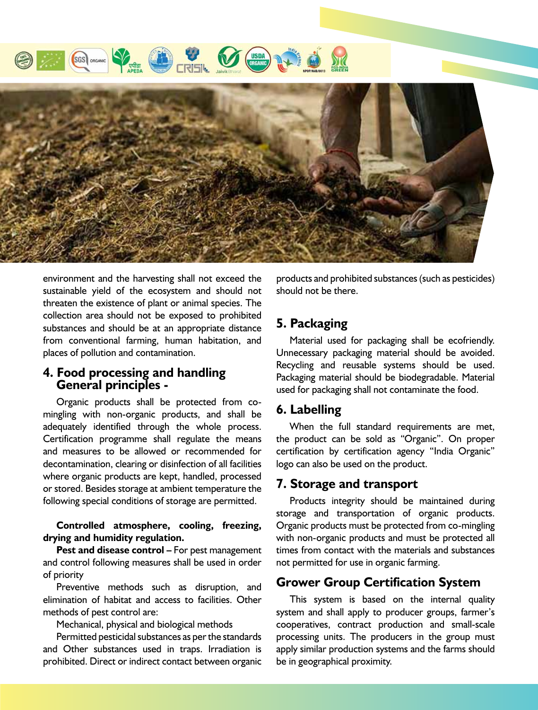



environment and the harvesting shall not exceed the sustainable yield of the ecosystem and should not threaten the existence of plant or animal species. The collection area should not be exposed to prohibited substances and should be at an appropriate distance from conventional farming, human habitation, and places of pollution and contamination.

# **4. Food processing and handling General principles -**

Organic products shall be protected from comingling with non-organic products, and shall be adequately identified through the whole process. Certification programme shall regulate the means and measures to be allowed or recommended for decontamination, clearing or disinfection of all facilities where organic products are kept, handled, processed or stored. Besides storage at ambient temperature the following special conditions of storage are permitted.

#### **Controlled atmosphere, cooling, freezing, drying and humidity regulation.**

**Pest and disease control –** For pest management and control following measures shall be used in order of priority

Preventive methods such as disruption, and elimination of habitat and access to facilities. Other methods of pest control are:

Mechanical, physical and biological methods

Permitted pesticidal substances as per the standards and Other substances used in traps. Irradiation is prohibited. Direct or indirect contact between organic

products and prohibited substances(such as pesticides) should not be there.

# **5. Packaging**

Material used for packaging shall be ecofriendly. Unnecessary packaging material should be avoided. Recycling and reusable systems should be used. Packaging material should be biodegradable. Material used for packaging shall not contaminate the food.

# **6. Labelling**

When the full standard requirements are met, the product can be sold as "Organic". On proper certification by certification agency "India Organic" logo can also be used on the product.

# **7. Storage and transport**

Products integrity should be maintained during storage and transportation of organic products. Organic products must be protected from co-mingling with non-organic products and must be protected all times from contact with the materials and substances not permitted for use in organic farming.

## **Grower Group Certification System**

This system is based on the internal quality system and shall apply to producer groups, farmer's cooperatives, contract production and small-scale processing units. The producers in the group must apply similar production systems and the farms should be in geographical proximity.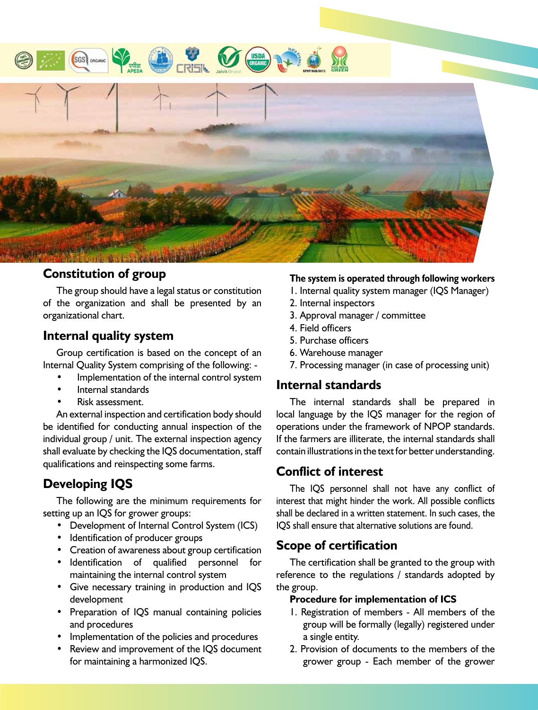

# **Constitution of group**

The group should have a legal status or constitution of the organization and shall be presented by an organizational chart.

# **Internal quality system**

Group certification is based on the concept of an Internal Quality System comprising of the following: -

- Implementation of the internal control system
- Internal standards
- Risk assessment.

An external inspection and certification body should be identified for conducting annual inspection of the individual group / unit. The external inspection agency shall evaluate by checking the IQS documentation, staff qualifications and reinspecting some farms.

# **Developing IQS**

The following are the minimum requirements for setting up an IQS for grower groups:

- Development of Internal Control System (ICS)
- • Identification of producer groups
- • Creation of awareness about group certification
- • Identification of qualified personnel for maintaining the internal control system
- Give necessary training in production and IQS development
- Preparation of IQS manual containing policies and procedures
- Implementation of the policies and procedures
- Review and improvement of the IQS document for maintaining a harmonized IQS.

#### **The system is operated through following workers**

- 1. Internal quality system manager (IQS Manager)
- 2. Internal inspectors
- 3. Approval manager / committee
- 4. Field officers
- 5. Purchase officers
- 6. Warehouse manager
- 7. Processing manager (in case of processing unit)

## **Internal standards**

The internal standards shall be prepared in local language by the IQS manager for the region of operations under the framework of NPOP standards. If the farmers are illiterate, the internal standards shall contain illustrations in the text for better understanding.

# **Conflict of interest**

The IQS personnel shall not have any conflict of interest that might hinder the work. All possible conflicts shall be declared in a written statement. In such cases, the IQS shall ensure that alternative solutions are found.

# **Scope of certification**

The certification shall be granted to the group with reference to the regulations / standards adopted by the group.

#### **Procedure for implementation of ICS**

- 1. Registration of members All members of the group will be formally (legally) registered under a single entity.
- 2. Provision of documents to the members of the grower group - Each member of the grower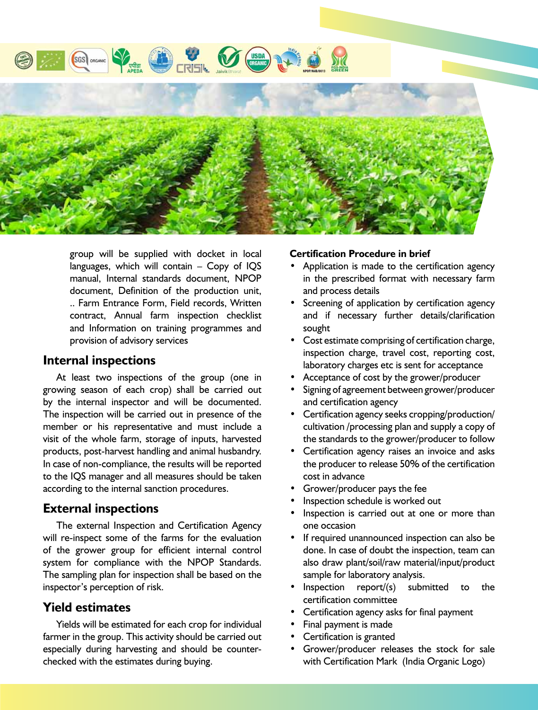

group will be supplied with docket in local languages, which will contain – Copy of IQS manual, Internal standards document, NPOP document, Definition of the production unit, .. Farm Entrance Form, Field records, Written contract, Annual farm inspection checklist and Information on training programmes and provision of advisory services

#### **Internal inspections**

At least two inspections of the group (one in growing season of each crop) shall be carried out by the internal inspector and will be documented. The inspection will be carried out in presence of the member or his representative and must include a visit of the whole farm, storage of inputs, harvested products, post-harvest handling and animal husbandry. In case of non-compliance, the results will be reported to the IQS manager and all measures should be taken according to the internal sanction procedures.

# **External inspections**

The external Inspection and Certification Agency will re-inspect some of the farms for the evaluation of the grower group for efficient internal control system for compliance with the NPOP Standards. The sampling plan for inspection shall be based on the inspector's perception of risk.

# **Yield estimates**

Yields will be estimated for each crop for individual farmer in the group. This activity should be carried out especially during harvesting and should be counterchecked with the estimates during buying.

#### **Certification Procedure in brief**

- Application is made to the certification agency in the prescribed format with necessary farm and process details
- Screening of application by certification agency and if necessary further details/clarification sought
- Cost estimate comprising of certification charge, inspection charge, travel cost, reporting cost, laboratory charges etc is sent for acceptance
- Acceptance of cost by the grower/producer
- Signing of agreement between grower/producer and certification agency
- Certification agency seeks cropping/production/ cultivation /processing plan and supply a copy of the standards to the grower/producer to follow
- • Certification agency raises an invoice and asks the producer to release 50% of the certification cost in advance
- Grower/producer pays the fee
- Inspection schedule is worked out
- Inspection is carried out at one or more than one occasion
- If required unannounced inspection can also be done. In case of doubt the inspection, team can also draw plant/soil/raw material/input/product sample for laboratory analysis.
- Inspection report/(s) submitted to the certification committee
- Certification agency asks for final payment
- Final payment is made
- Certification is granted
- Grower/producer releases the stock for sale with Certification Mark (India Organic Logo)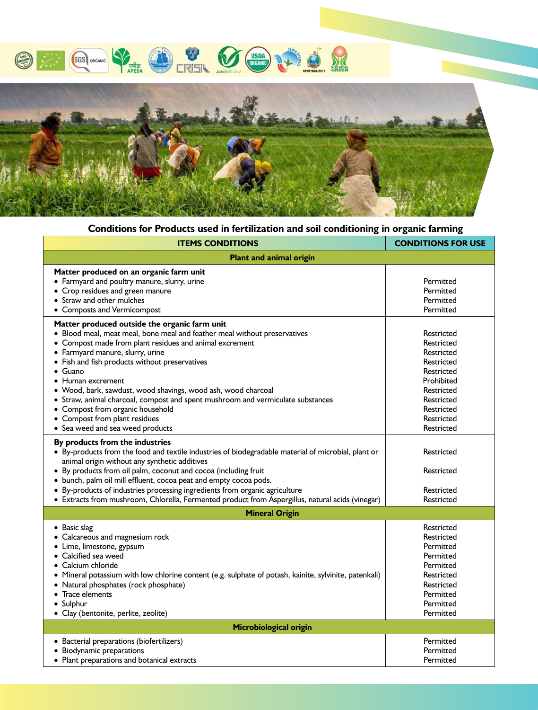



# **Conditions for Products used in fertilization and soil conditioning in organic farming**

| <b>ITEMS CONDITIONS</b>                                                                                                                                                                                                                                                                                                                                                                                                                                                                                                                                                        | <b>CONDITIONS FOR USE</b>                                                                                                                              |  |
|--------------------------------------------------------------------------------------------------------------------------------------------------------------------------------------------------------------------------------------------------------------------------------------------------------------------------------------------------------------------------------------------------------------------------------------------------------------------------------------------------------------------------------------------------------------------------------|--------------------------------------------------------------------------------------------------------------------------------------------------------|--|
| <b>Plant and animal origin</b>                                                                                                                                                                                                                                                                                                                                                                                                                                                                                                                                                 |                                                                                                                                                        |  |
| Matter produced on an organic farm unit<br>• Farmyard and poultry manure, slurry, urine<br>• Crop residues and green manure<br>• Straw and other mulches<br>• Composts and Vermicompost                                                                                                                                                                                                                                                                                                                                                                                        | Permitted<br>Permitted<br>Permitted<br>Permitted                                                                                                       |  |
| Matter produced outside the organic farm unit<br>• Blood meal, meat meal, bone meal and feather meal without preservatives<br>• Compost made from plant residues and animal excrement<br>• Farmyard manure, slurry, urine<br>• Fish and fish products without preservatives<br>Guano<br>$\bullet$ Human excrement<br>· Wood, bark, sawdust, wood shavings, wood ash, wood charcoal<br>• Straw, animal charcoal, compost and spent mushroom and vermiculate substances<br>• Compost from organic household<br>• Compost from plant residues<br>• Sea weed and sea weed products | Restricted<br>Restricted<br>Restricted<br>Restricted<br>Restricted<br>Prohibited<br>Restricted<br>Restricted<br>Restricted<br>Restricted<br>Restricted |  |
| By products from the industries<br>• By-products from the food and textile industries of biodegradable material of microbial, plant or<br>animal origin without any synthetic additives<br>• By products from oil palm, coconut and cocoa (including fruit<br>• bunch, palm oil mill effluent, cocoa peat and empty cocoa pods.<br>• By-products of industries processing ingredients from organic agriculture<br>• Extracts from mushroom, Chlorella, Fermented product from Aspergillus, natural acids (vinegar)                                                             | Restricted<br>Restricted<br>Restricted<br>Restricted                                                                                                   |  |
| <b>Mineral Origin</b>                                                                                                                                                                                                                                                                                                                                                                                                                                                                                                                                                          |                                                                                                                                                        |  |
| • Basic slag<br>• Calcareous and magnesium rock<br>• Lime, limestone, gypsum<br>• Calcified sea weed<br>$\bullet$ Calcium chloride<br>• Mineral potassium with low chlorine content (e.g. sulphate of potash, kainite, sylvinite, patenkali)<br>Natural phosphates (rock phosphate)<br>Trace elements<br>• Sulphur<br>· Clay (bentonite, perlite, zeolite)                                                                                                                                                                                                                     | Restricted<br>Restricted<br>Permitted<br>Permitted<br>Permitted<br>Restricted<br>Restricted<br>Permitted<br>Permitted<br>Permitted                     |  |
| Microbiological origin                                                                                                                                                                                                                                                                                                                                                                                                                                                                                                                                                         |                                                                                                                                                        |  |
| • Bacterial preparations (biofertilizers)<br>• Biodynamic preparations<br>• Plant preparations and botanical extracts                                                                                                                                                                                                                                                                                                                                                                                                                                                          | Permitted<br>Permitted<br>Permitted                                                                                                                    |  |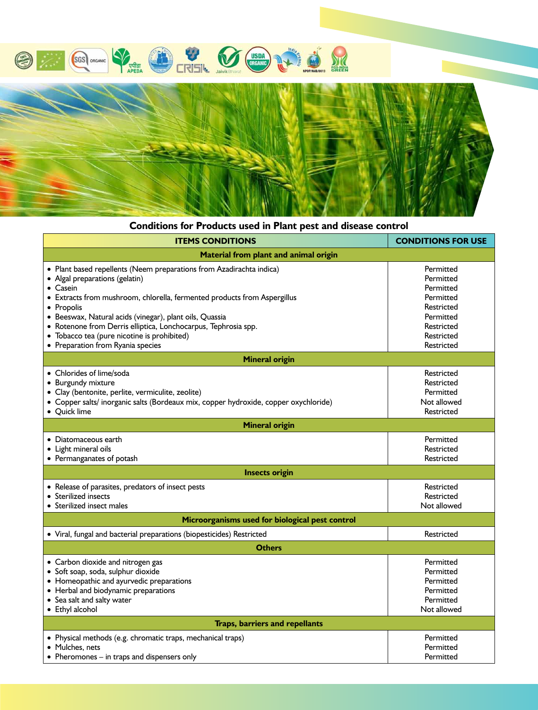



# **Conditions for Products used in Plant pest and disease control**

| <b>ITEMS CONDITIONS</b>                                                                                                                                                                                                                                                                                                                                                                                                               | <b>CONDITIONS FOR USE</b>                                                                                             |  |
|---------------------------------------------------------------------------------------------------------------------------------------------------------------------------------------------------------------------------------------------------------------------------------------------------------------------------------------------------------------------------------------------------------------------------------------|-----------------------------------------------------------------------------------------------------------------------|--|
| <b>Material from plant and animal origin</b>                                                                                                                                                                                                                                                                                                                                                                                          |                                                                                                                       |  |
| • Plant based repellents (Neem preparations from Azadirachta indica)<br>• Algal preparations (gelatin)<br>$\bullet$ Casein<br>• Extracts from mushroom, chlorella, fermented products from Aspergillus<br>• Propolis<br>· Beeswax, Natural acids (vinegar), plant oils, Quassia<br>• Rotenone from Derris elliptica, Lonchocarpus, Tephrosia spp.<br>• Tobacco tea (pure nicotine is prohibited)<br>• Preparation from Ryania species | Permitted<br>Permitted<br>Permitted<br>Permitted<br>Restricted<br>Permitted<br>Restricted<br>Restricted<br>Restricted |  |
| <b>Mineral origin</b>                                                                                                                                                                                                                                                                                                                                                                                                                 |                                                                                                                       |  |
| • Chlorides of lime/soda<br>• Burgundy mixture<br>· Clay (bentonite, perlite, vermiculite, zeolite)<br>· Copper salts/ inorganic salts (Bordeaux mix, copper hydroxide, copper oxychloride)<br>• Quick lime                                                                                                                                                                                                                           | Restricted<br>Restricted<br>Permitted<br>Not allowed<br>Restricted                                                    |  |
| <b>Mineral origin</b>                                                                                                                                                                                                                                                                                                                                                                                                                 |                                                                                                                       |  |
| • Diatomaceous earth<br>• Light mineral oils<br>• Permanganates of potash                                                                                                                                                                                                                                                                                                                                                             | Permitted<br>Restricted<br>Restricted                                                                                 |  |
| <b>Insects origin</b>                                                                                                                                                                                                                                                                                                                                                                                                                 |                                                                                                                       |  |
| • Release of parasites, predators of insect pests<br>• Sterilized insects<br>• Sterilized insect males                                                                                                                                                                                                                                                                                                                                | Restricted<br>Restricted<br>Not allowed                                                                               |  |
| Microorganisms used for biological pest control                                                                                                                                                                                                                                                                                                                                                                                       |                                                                                                                       |  |
| • Viral, fungal and bacterial preparations (biopesticides) Restricted                                                                                                                                                                                                                                                                                                                                                                 | Restricted                                                                                                            |  |
| <b>Others</b>                                                                                                                                                                                                                                                                                                                                                                                                                         |                                                                                                                       |  |
| • Carbon dioxide and nitrogen gas<br>· Soft soap, soda, sulphur dioxide<br>• Homeopathic and ayurvedic preparations<br>• Herbal and biodynamic preparations<br>• Sea salt and salty water<br>• Ethyl alcohol                                                                                                                                                                                                                          | Permitted<br>Permitted<br>Permitted<br>Permitted<br>Permitted<br>Not allowed                                          |  |
| <b>Traps, barriers and repellants</b>                                                                                                                                                                                                                                                                                                                                                                                                 |                                                                                                                       |  |
| · Physical methods (e.g. chromatic traps, mechanical traps)<br>• Mulches, nets<br>$\bullet$ Pheromones $-$ in traps and dispensers only                                                                                                                                                                                                                                                                                               | Permitted<br>Permitted<br>Permitted                                                                                   |  |